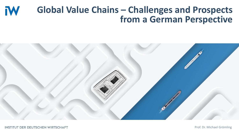#### **Global Value Chains – Challenges and Prospects IW from a German Perspective**



**INSTITUT DER DEUTSCHEN WIRTSCHAFT** 

Prof. Dr. Michael Grömling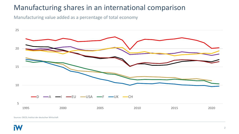#### Manufacturing shares in an international comparison

Manufacturing value added as a percentage of total economy



Sources: OECD; Institut der deutschen Wirtschaft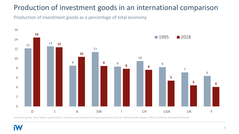#### Production of investment goods in an international comparison

Production of investment goods as a percentage of total economy



Investment goods: Basic metals, metal products, machinery and equipment, transport equipment. Sources: Statistisches Bundesamt; OECD; Institut der deutschen Wirtschaft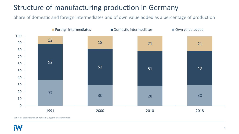# Structure of manufacturing production in Germany

Share of domestic and foreign intermediates and of own value added as a percentage of production



Sources: Statistisches Bundesamt; eigene Berechnungen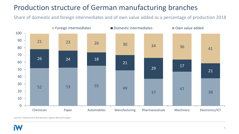# Production structure of German manufacturing branches

Share of domestic and foreign intermediates and of own value added as a percentage of production 2018



Sources: Statistisches Bundesamt; eigene Berechnungen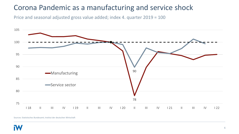#### Corona Pandemic as a manufacturing and service shock

Price and seasonal adjusted gross value added; index 4. quarter 2019 = 100



Sources: Statistisches Bundesamt; Institut der deutschen Wirtschaft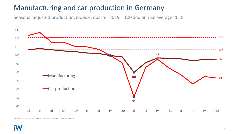#### Manufacturing and car production in Germany

Seasonal adjusted production, index 4. quarter 2019 = 100 and annual average 2018



Sources: Deutsche Bundesbank; Institut der deutschen Wirtschaft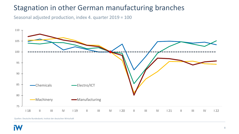#### Stagnation in other German manufacturing branches

Seasonal adjusted production, index 4. quarter 2019 = 100



Quellen: Deutsche Bundesbank; Institut der deutschen Wirtschaft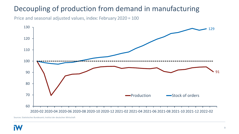# Decoupling of production from demand in manufacturing

Price and seasonal adjusted values, index: February 2020 = 100



Sources: Statistisches Bundesamt; Institut der deutschen Wirtschaft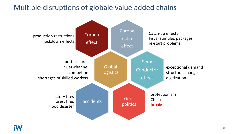#### Multiple disruptions of globale value added chains

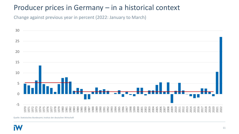#### Producer prices in Germany – in a historical context

Change against previous year in percent (2022: January to March)



Quelle: Statistisches Bundesamt; Institut der deutschen Wirtschaft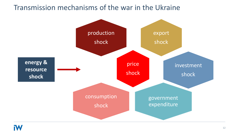#### Transmission mechanisms of the war in the Ukraine

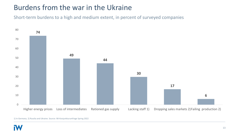### Burdens from the war in the Ukraine

Short-term burdens to a high and medium extent, in percent of surveyed companies



<sup>1)</sup> In Germany. 2) Russlia and Ukraine. Source: IW-Konjunkturumfrage Spring 2022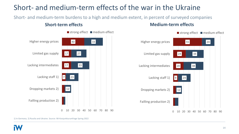# Short- and medium-term effects of the war in the Ukraine

Short- and medium-term burdens to a high and medium extent, in percent of surveyed companies



#### **Short-term effects Medium-term effects**



1) In Germany. 2) Russlia and Ukraine. Source: IW-Konjunkturumfrage Spring 2022

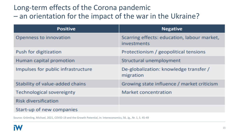# Long-term effects of the Corona pandemic – an orientation for the impact of the war in the Ukraine?

| <b>Positive</b>                    | <b>Negative</b>                                            |
|------------------------------------|------------------------------------------------------------|
| Openness to innovation             | Scarring effects: education, labour market,<br>investments |
| Push for digitization              | Protectionism / geopolitical tensions                      |
| Human capital promotion            | Structural unemployment                                    |
| Impulses for public infrastructure | De-globalization: knowledge transfer /<br>migration        |
| Stability of value-added chains    | Growing state influence / market criticism                 |
| Technological sovereignty          | <b>Market concentration</b>                                |
| <b>Risk diversification</b>        |                                                            |
| Start-up of new companies          |                                                            |

Source: Grömling, Michael, 2021, COVID-19 and the Growth Potential, in: Intereconomics, 56. Jg., Nr. 1, S. 45-49